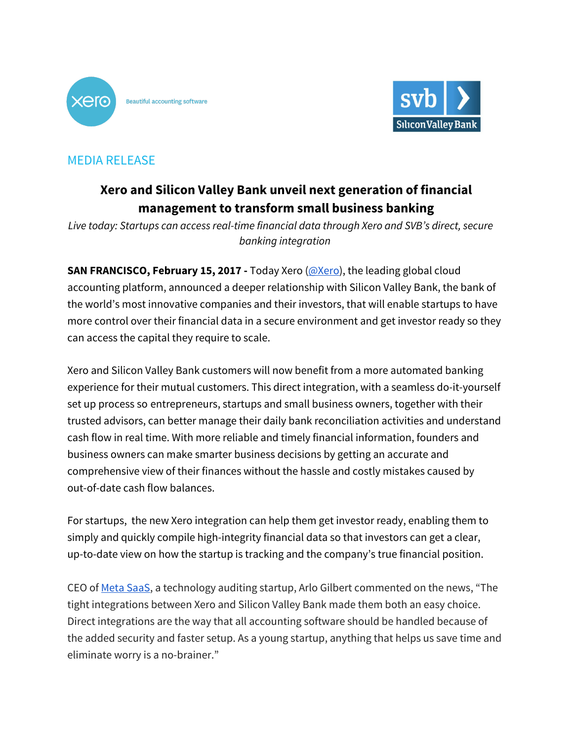



# MEDIA RELEASE

# **Xero and Silicon Valley Bank unveil next generation of financial management to transform small business banking**

Live today: Startups can access real-time financial data through Xero and SVB's direct, secure banking integration

**SAN FRANCISCO, February 15, 2017 -** Today Xero [\(@Xero\)](https://www.xero.com/us/), the leading global cloud accounting platform, announced a deeper relationship with Silicon Valley Bank, the bank of the world's most innovative companies and their investors, that will enable startups to have more control over their financial data in a secure environment and get investor ready so they can access the capital they require to scale.

Xero and Silicon Valley Bank customers will now benefit from a more automated banking experience for their mutual customers. This direct integration, with a seamless do-it-yourself set up process so entrepreneurs, startups and small business owners, together with their trusted advisors, can better manage their daily bank reconciliation activities and understand cash flow in real time. With more reliable and timely financial information, founders and business owners can make smarter business decisions by getting an accurate and comprehensive view of their finances without the hassle and costly mistakes caused by out-of-date cash flow balances.

For startups, the new Xero integration can help them get investor ready, enabling them to simply and quickly compile high-integrity financial data so that investors can get a clear, up-to-date view on how the startup is tracking and the company's true financial position.

CEO of [Meta SaaS,](https://www.metasaas.com/) a technology auditing startup, Arlo Gilbert commented on the news, "The tight integrations between Xero and Silicon Valley Bank made them both an easy choice. Direct integrations are the way that all accounting software should be handled because of the added security and faster setup. As a young startup, anything that helps us save time and eliminate worry is a no-brainer."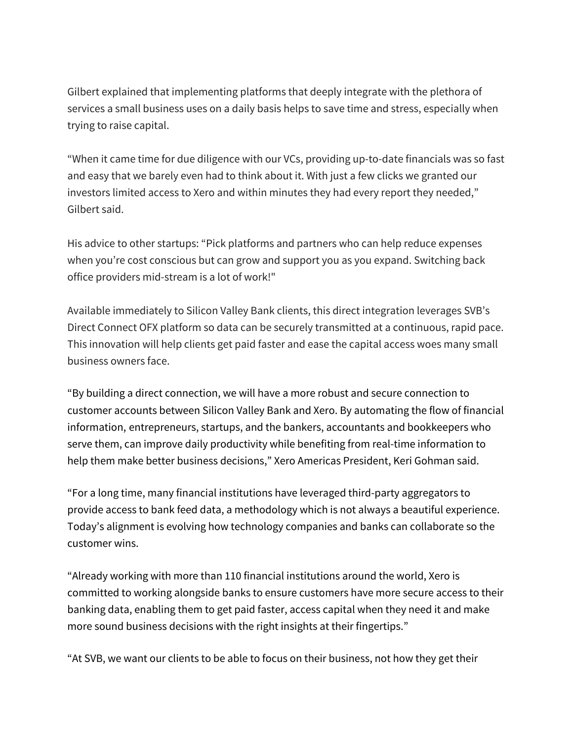Gilbert explained that implementing platforms that deeply integrate with the plethora of services a small business uses on a daily basis helps to save time and stress, especially when trying to raise capital.

"When it came time for due diligence with our VCs, providing up-to-date financials was so fast and easy that we barely even had to think about it. With just a few clicks we granted our investors limited access to Xero and within minutes they had every report they needed," Gilbert said.

His advice to other startups: "Pick platforms and partners who can help reduce expenses when you're cost conscious but can grow and support you as you expand. Switching back office providers mid-stream is a lot of work!"

Available immediately to Silicon Valley Bank clients, this direct integration leverages SVB's Direct Connect OFX platform so data can be securely transmitted at a continuous, rapid pace. This innovation will help clients get paid faster and ease the capital access woes many small business owners face.

"By building a direct connection, we will have a more robust and secure connection to customer accounts between Silicon Valley Bank and Xero. By automating the flow of financial information, entrepreneurs, startups, and the bankers, accountants and bookkeepers who serve them, can improve daily productivity while benefiting from real-time information to help them make better business decisions," Xero Americas President, Keri Gohman said.

"For a long time, many financial institutions have leveraged third-party aggregators to provide access to bank feed data, a methodology which is not always a beautiful experience. Today's alignment is evolving how technology companies and banks can collaborate so the customer wins.

"Already working with more than 110 financial institutions around the world, Xero is committed to working alongside banks to ensure customers have more secure access to their banking data, enabling them to get paid faster, access capital when they need it and make more sound business decisions with the right insights at their fingertips."

"At SVB, we want our clients to be able to focus on their business, not how they get their